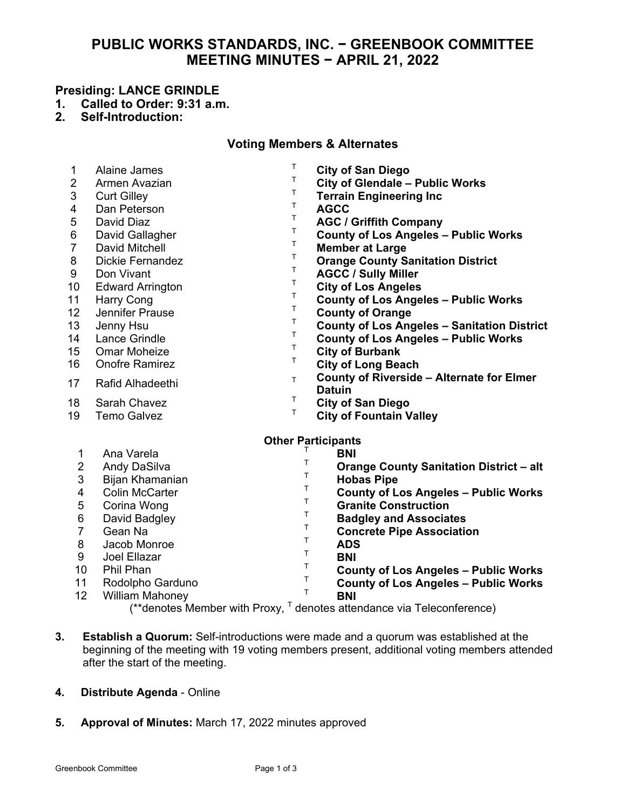# **PUBLIC WORKS STANDARDS, INC. − GREENBOOK COMMITTEE MEETING MINUTES − APRIL 21, 2022**

#### **Presiding: LANCE GRINDLE**

- **1. Called to Order: 9:31 a.m.**
- **2. Self-Introduction:**

## **Voting Members & Alternates**

| 1<br>$\overline{2}$<br>3<br>4<br>5<br>6<br>$\overline{7}$<br>8<br>9<br>10<br>11<br>12<br>13<br>14<br>15<br>16<br>17 | Alaine James<br>Armen Avazian<br><b>Curt Gilley</b><br>Dan Peterson<br>David Diaz<br>David Gallagher<br><b>David Mitchell</b><br>Dickie Fernandez<br>Don Vivant<br><b>Edward Arrington</b><br><b>Harry Cong</b><br>Jennifer Prause<br>Jenny Hsu<br>Lance Grindle<br><b>Omar Moheize</b><br><b>Onofre Ramirez</b><br><b>Rafid Alhadeethi</b> | т<br>T.<br>т<br>т<br>Т<br>Т<br>T.<br>Т<br>т<br>T<br>T<br>т<br>т<br>Т<br>Т<br>Т<br>T. | <b>City of San Diego</b><br><b>City of Glendale - Public Works</b><br><b>Terrain Engineering Inc</b><br><b>AGCC</b><br><b>AGC / Griffith Company</b><br><b>County of Los Angeles - Public Works</b><br><b>Member at Large</b><br><b>Orange County Sanitation District</b><br><b>AGCC / Sully Miller</b><br><b>City of Los Angeles</b><br><b>County of Los Angeles - Public Works</b><br><b>County of Orange</b><br><b>County of Los Angeles - Sanitation District</b><br><b>County of Los Angeles - Public Works</b><br><b>City of Burbank</b><br><b>City of Long Beach</b><br><b>County of Riverside - Alternate for Elmer</b> |
|---------------------------------------------------------------------------------------------------------------------|---------------------------------------------------------------------------------------------------------------------------------------------------------------------------------------------------------------------------------------------------------------------------------------------------------------------------------------------|--------------------------------------------------------------------------------------|---------------------------------------------------------------------------------------------------------------------------------------------------------------------------------------------------------------------------------------------------------------------------------------------------------------------------------------------------------------------------------------------------------------------------------------------------------------------------------------------------------------------------------------------------------------------------------------------------------------------------------|
| 18<br>19                                                                                                            | Sarah Chavez<br><b>Temo Galvez</b>                                                                                                                                                                                                                                                                                                          | т<br>Т                                                                               | <b>Datuin</b><br><b>City of San Diego</b><br><b>City of Fountain Valley</b>                                                                                                                                                                                                                                                                                                                                                                                                                                                                                                                                                     |
| <b>Other Participants</b><br>Ana Varela<br>1<br><b>BNI</b>                                                          |                                                                                                                                                                                                                                                                                                                                             |                                                                                      |                                                                                                                                                                                                                                                                                                                                                                                                                                                                                                                                                                                                                                 |
| $\overline{2}$<br>3<br>4<br>5<br>6<br>$\overline{7}$<br>8<br>9<br>10<br>11<br>12                                    | Andy DaSilva<br>Bijan Khamanian<br><b>Colin McCarter</b><br>Corina Wong<br>David Badgley<br>Gean Na<br>Jacob Monroe<br>Joel Ellazar<br><b>Phil Phan</b><br>Rodolpho Garduno<br><b>William Mahoney</b>                                                                                                                                       | T<br>T<br>Т<br>т<br>Τ<br>Τ<br>Τ<br>T.<br>$\mathsf{T}$<br>Т<br>T.                     | <b>Orange County Sanitation District - alt</b><br><b>Hobas Pipe</b><br><b>County of Los Angeles - Public Works</b><br><b>Granite Construction</b><br><b>Badgley and Associates</b><br><b>Concrete Pipe Association</b><br><b>ADS</b><br><b>BNI</b><br><b>County of Los Angeles - Public Works</b><br><b>County of Los Angeles - Public Works</b><br><b>BNI</b><br>$\mu^*$ denotes Member with Draw $\overline{I}$ denotes ettendence via Telesenference)                                                                                                                                                                        |

- $(*$ <sup>\*</sup>denotes Member with Proxy,  $\mathsf{F}$  denotes attendance via Teleconference)
- **3. Establish a Quorum:** Self-introductions were made and a quorum was established at the beginning of the meeting with 19 voting members present, additional voting members attended after the start of the meeting.
- **4. Distribute Agenda**  Online
- **5. Approval of Minutes:** March 17, 2022 minutes approved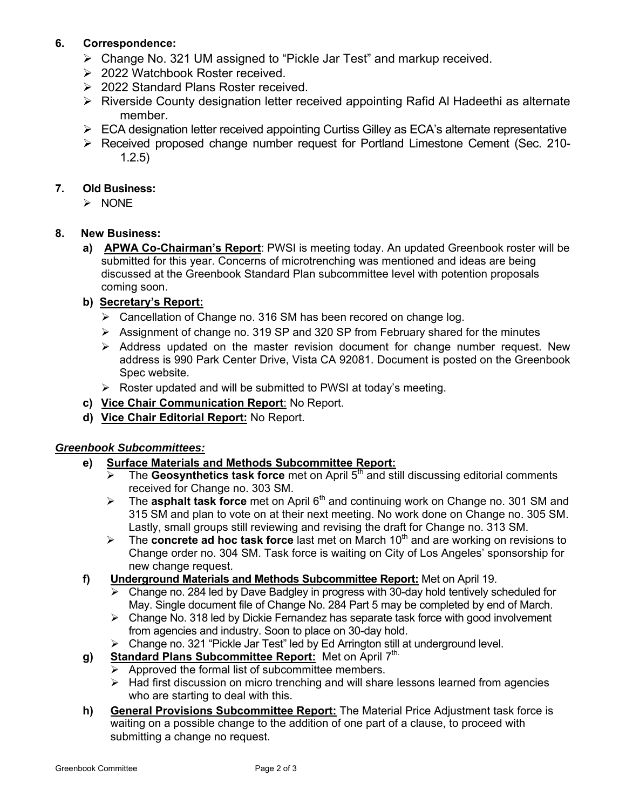# **6. Correspondence:**

- Change No. 321 UM assigned to "Pickle Jar Test" and markup received.
- **2022 Watchbook Roster received.**
- **2022 Standard Plans Roster received.**
- **EX** Riverside County designation letter received appointing Rafid AI Hadeethi as alternate member.
- ▶ ECA designation letter received appointing Curtiss Gilley as ECA's alternate representative
- Received proposed change number request for Portland Limestone Cement (Sec. 210- 1.2.5)

#### **7. Old Business:**

 $\triangleright$  NONE

#### **8. New Business:**

 **a) APWA Co-Chairman's Report**: PWSI is meeting today. An updated Greenbook roster will be submitted for this year. Concerns of microtrenching was mentioned and ideas are being discussed at the Greenbook Standard Plan subcommittee level with potention proposals coming soon.

#### **b) Secretary's Report:**

- Cancellation of Change no. 316 SM has been recored on change log.
- Assignment of change no. 319 SP and 320 SP from February shared for the minutes
- $\triangleright$  Address updated on the master revision document for change number request. New address is 990 Park Center Drive, Vista CA 92081. Document is posted on the Greenbook Spec website.
- $\triangleright$  Roster updated and will be submitted to PWSI at today's meeting.
- **c) Vice Chair Communication Report**: No Report.
- **d) Vice Chair Editorial Report:** No Report.

#### *Greenbook Subcommittees:*

- **e) Surface Materials and Methods Subcommittee Report:**
	- $\triangleright$  The Geosynthetics task force met on April 5<sup>th</sup> and still discussing editorial comments received for Change no. 303 SM.
	- The **asphalt task force** met on April 6th and continuing work on Change no. 301 SM and 315 SM and plan to vote on at their next meeting. No work done on Change no. 305 SM. Lastly, small groups still reviewing and revising the draft for Change no. 313 SM.
	- **►** The **concrete ad hoc task force** last met on March 10<sup>th</sup> and are working on revisions to Change order no. 304 SM. Task force is waiting on City of Los Angeles' sponsorship for new change request.
- **f) Underground Materials and Methods Subcommittee Report:** Met on April 19.
	- $\triangleright$  Change no. 284 led by Dave Badgley in progress with 30-day hold tentively scheduled for May. Single document file of Change No. 284 Part 5 may be completed by end of March.
	- $\triangleright$  Change No. 318 led by Dickie Fernandez has separate task force with good involvement from agencies and industry. Soon to place on 30-day hold.
	- $\triangleright$  Change no. 321 "Pickle Jar Test" led by Ed Arrington still at underground level.
- g) Standard Plans Subcommittee Report: Met on April 7th.
	- $\triangleright$  Approved the formal list of subcommittee members.
	- $\triangleright$  Had first discussion on micro trenching and will share lessons learned from agencies who are starting to deal with this.
- **h) General Provisions Subcommittee Report:** The Material Price Adjustment task force is waiting on a possible change to the addition of one part of a clause, to proceed with submitting a change no request.